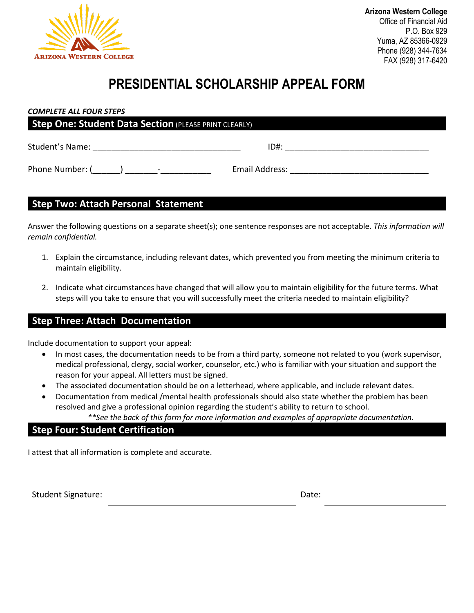

## **PRESIDENTIAL SCHOLARSHIP APPEAL FORM**

#### *COMPLETE ALL FOUR STEPS*

| <b>Step One: Student Data Section (PLEASE PRINT CLEARLY)</b> |                |  |
|--------------------------------------------------------------|----------------|--|
| Student's Name:                                              | $ID#$ :        |  |
| Phone Number: (<br>$\overline{\phantom{a}}$                  | Email Address: |  |

#### **Step Two: Attach Personal Statement**

Answer the following questions on a separate sheet(s); one sentence responses are not acceptable. *This information will remain confidential.* 

- 1. Explain the circumstance, including relevant dates, which prevented you from meeting the minimum criteria to maintain eligibility.
- 2. Indicate what circumstances have changed that will allow you to maintain eligibility for the future terms. What steps will you take to ensure that you will successfully meet the criteria needed to maintain eligibility?

### **Step Three: Attach Documentation**

Include documentation to support your appeal:

- In most cases, the documentation needs to be from a third party, someone not related to you (work supervisor, medical professional, clergy, social worker, counselor, etc.) who is familiar with your situation and support the reason for your appeal. All letters must be signed.
- The associated documentation should be on a letterhead, where applicable, and include relevant dates.
- Documentation from medical /mental health professionals should also state whether the problem has been resolved and give a professional opinion regarding the student's ability to return to school.

*\*\*See the back of this form for more information and examples of appropriate documentation.*

#### **Step Four: Student Certification**

I attest that all information is complete and accurate.

Student Signature: Date: